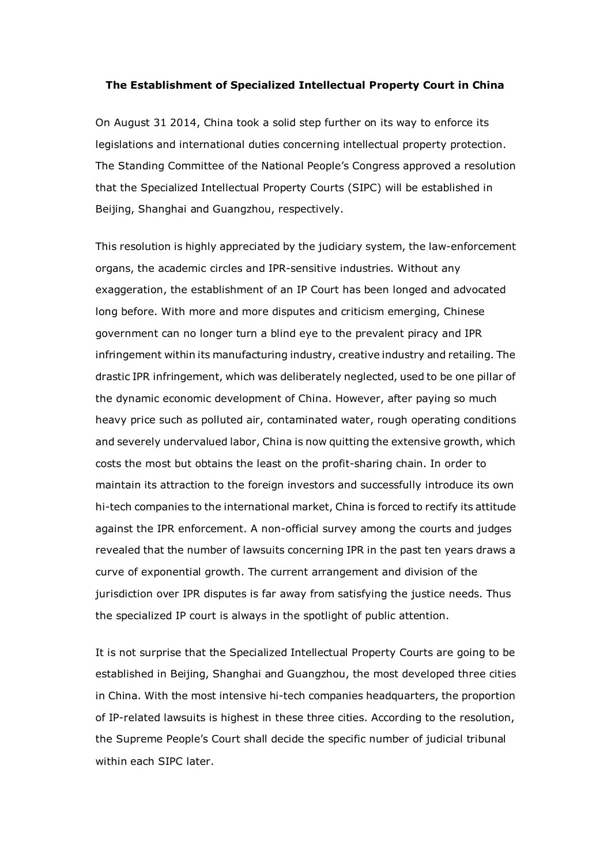## The Establishment of Specialized Intellectual Property Court in China

On August 31 2014, China took a solid step further on its way to enforce its legislations and international duties concerning intellectual property protection. The Standing Committee of the National People's Congress approved a resolution that the Specialized Intellectual Property Courts (SIPC) will be established in Beijing, Shanghai and Guangzhou, respectively.

This resolution is highly appreciated by the judiciary system, the law-enforcement organs, the academic circles and IPR-sensitive industries. Without any exaggeration, the establishment of an IP Court has been longed and advocated long before. With more and more disputes and criticism emerging, Chinese government can no longer turn a blind eye to the prevalent piracy and IPR infringement within its manufacturing industry, creative industry and retailing. The drastic IPR infringement, which was deliberately neglected, used to be one pillar of the dynamic economic development of China. However, after paying so much heavy price such as polluted air, contaminated water, rough operating conditions and severely undervalued labor, China is now quitting the extensive growth, which costs the most but obtains the least on the profit-sharing chain. In order to maintain its attraction to the foreign investors and successfully introduce its own hi-tech companies to the international market, China is forced to rectify its attitude against the IPR enforcement. A non-official survey among the courts and judges revealed that the number of lawsuits concerning IPR in the past ten years draws a curve of exponential growth. The current arrangement and division of the jurisdiction over IPR disputes is far away from satisfying the justice needs. Thus the specialized IP court is always in the spotlight of public attention.

It is not surprise that the Specialized Intellectual Property Courts are going to be established in Beijing, Shanghai and Guangzhou, the most developed three cities in China. With the most intensive hi-tech companies headquarters, the proportion of IP-related lawsuits is highest in these three cities. According to the resolution, the Supreme People's Court shall decide the specific number of judicial tribunal within each SIPC later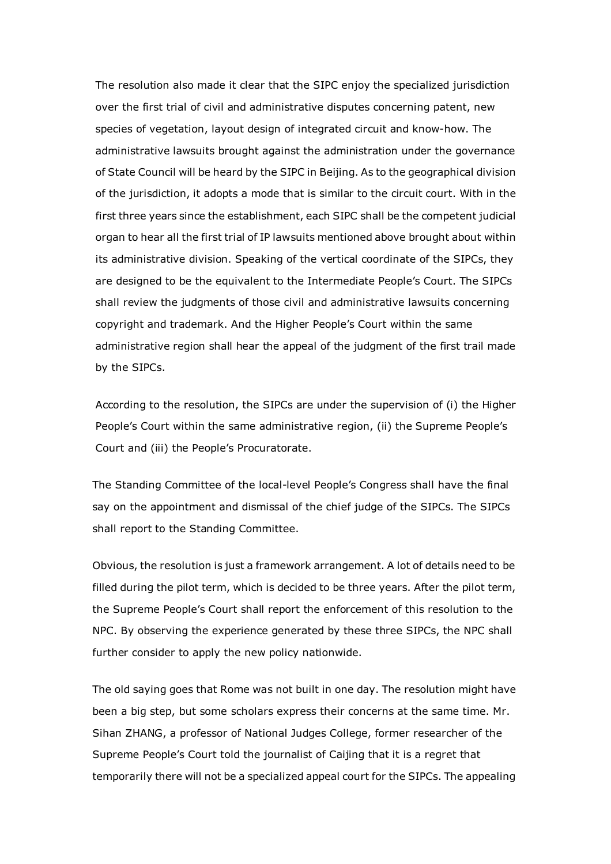The resolution also made it clear that the SIPC enjoy the specialized jurisdiction over the first trial of civil and administrative disputes concerning patent, new species of vegetation, layout design of integrated circuit and know-how. The administrative lawsuits brought against the administration under the governance of State Council will be heard by the SIPC in Beijing. As to the geographical division of the jurisdiction, it adopts a mode that is similar to the circuit court. With in the first three years since the establishment, each SIPC shall be the competent judicial organ to hear all the first trial of IP lawsuits mentioned above brought about within its administrative division. Speaking of the vertical coordinate of the SIPCs, they are designed to be the equivalent to the Intermediate People's Court. The SIPCs shall review the judgments of those civil and administrative lawsuits concerning copyright and trademark. And the Higher People's Court within the same administrative region shall hear the appeal of the judgment of the first trail made by the SIPCs.

According to the resolution, the SIPCs are under the supervision of (i) the Higher People's Court within the same administrative region, (ii) the Supreme People's Court and (iii) the People's Procuratorate.

The Standing Committee of the local-level People's Congress shall have the final say on the appointment and dismissal of the chief judge of the SIPCs. The SIPCs shall report to the Standing Committee.

Obvious, the resolution is just a framework arrangement. A lot of details need to be filled during the pilot term, which is decided to be three years. After the pilot term, the Supreme People's Court shall report the enforcement of this resolution to the NPC. By observing the experience generated by these three SIPCs, the NPC shall further consider to apply the new policy nationwide.

The old saying goes that Rome was not built in one day. The resolution might have been a big step, but some scholars express their concerns at the same time. Mr. Sihan ZHANG, a professor of National Judges College, former researcher of the Supreme People's Court told the journalist of Caijing that it is a regret that temporarily there will not be a specialized appeal court for the SIPCs. The appealing